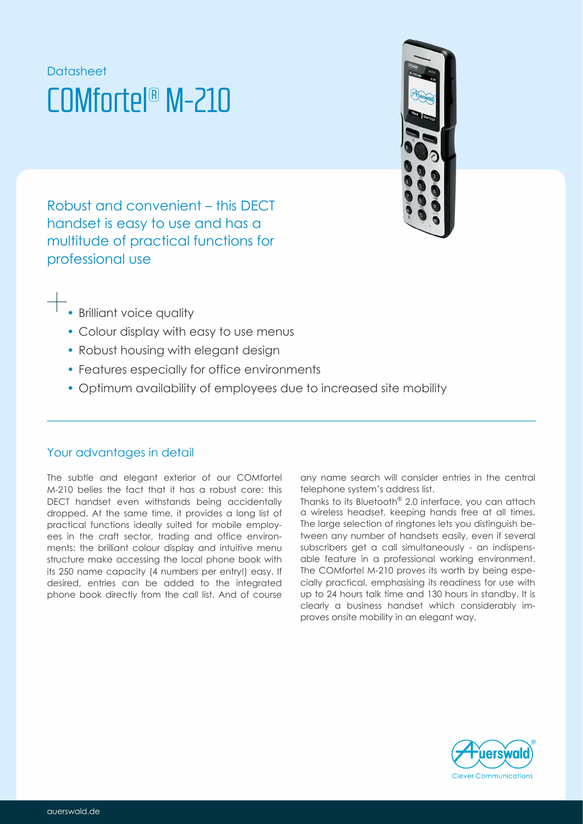# Datasheet COMfortel® M-210

Robust and convenient – this DECT handset is easy to use and has a multitude of practical functions for professional use

- -<br>• Brilliant voice quality
- Colour display with easy to use menus
- Robust housing with elegant design
- Features especially for office environments
- Optimum availability of employees due to increased site mobility

### Your advantages in detail

The subtle and elegant exterior of our COMfortel  $M-210$  belies the fact that it has a robust core: this DECT handset even withstands being accidentally dropped. At the same time, it provides a long list of practical functions ideally suited for mobile employees in the craft sector, trading and office environments: the brilliant colour display and intuitive menu structure make accessing the local phone book with its 250 name capacity (4 numbers per entry!) easy. If desired, entries can be added to the integrated phone book directly from the call list. And of course

any name search will consider entries in the central telephone system's address list.

Thanks to its Bluetooth® 2.0 interface, you can attach a wireless headset, keeping hands free at all times. The large selection of ringtones lets you distinguish between any number of handsets easily, even if several subscribers get a call simultaneously - an indispensable feature in a professional working environment. The COMfortel M-210 proves its worth by being especially practical, emphasising its readiness for use with up to 24 hours talk time and 130 hours in standby. It is clearly a business handset which considerably improves onsite mobility in an elegant way.